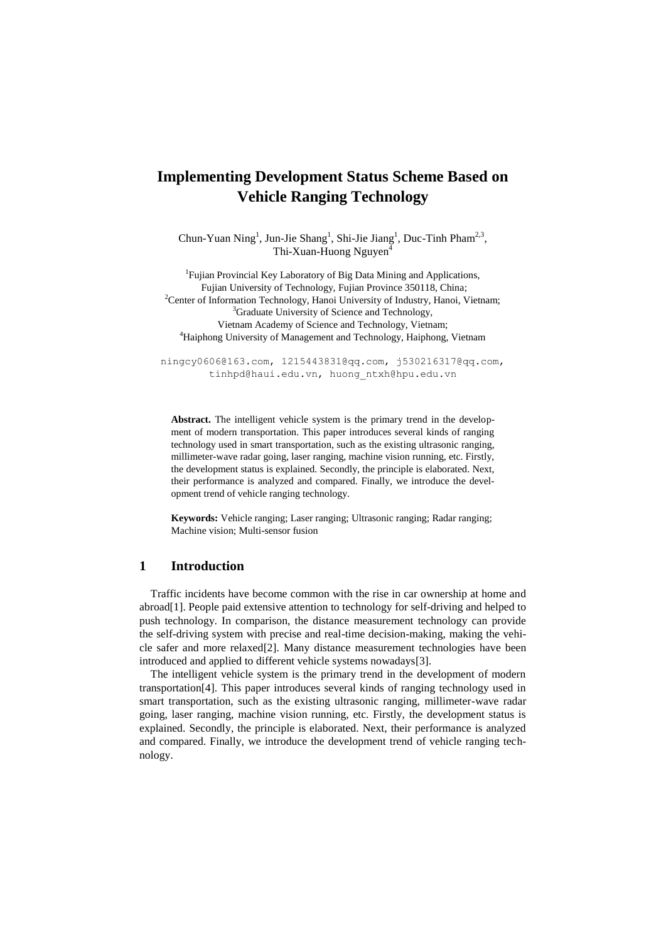# **Implementing Development Status Scheme Based on Vehicle Ranging Technology**

Chun-Yuan Ning<sup>1</sup>, Jun-Jie Shang<sup>1</sup>, Shi-Jie Jiang<sup>1</sup>, Duc-Tinh Pham<sup>2,3</sup>, Thi-Xuan-Huong Nguyen<sup>4</sup>

<sup>1</sup>Fujian Provincial Key Laboratory of Big Data Mining and Applications, Fujian University of Technology, Fujian Province 350118, China; <sup>2</sup>Center of Information Technology, Hanoi University of Industry, Hanoi, Vietnam; <sup>3</sup>Graduate University of Science and Technology, Vietnam Academy of Science and Technology, Vietnam; <sup>4</sup>Haiphong University of Management and Technology, Haiphong, Vietnam

ningcy0606@16[3.com,](mailto:596905210@qq.com) 1215443831@qq.com, [j530216317@qq.com,](mailto:j530216317@qq.com) [tinhpd@haui.edu.vn,](mailto:tinhpd@haui.edu.vn) huong\_ntxh@hpu.edu.vn

**Abstract.** The intelligent vehicle system is the primary trend in the development of modern transportation. This paper introduces several kinds of ranging technology used in smart transportation, such as the existing ultrasonic ranging, millimeter-wave radar going, laser ranging, machine vision running, etc. Firstly, the development status is explained. Secondly, the principle is elaborated. Next, their performance is analyzed and compared. Finally, we introduce the development trend of vehicle ranging technology.

**Keywords:** Vehicle ranging; Laser ranging; Ultrasonic ranging; Radar ranging; Machine vision; Multi-sensor fusion

# **1 Introduction**

Traffic incidents have become common with the rise in car ownership at home and abroad[1]. People paid extensive attention to technology for self-driving and helped to push technology. In comparison, the distance measurement technology can provide the self-driving system with precise and real-time decision-making, making the vehicle safer and more relaxed[2]. Many distance measurement technologies have been introduced and applied to different vehicle systems nowadays[3].

The intelligent vehicle system is the primary trend in the development of modern transportation[4]. This paper introduces several kinds of ranging technology used in smart transportation, such as the existing ultrasonic ranging, millimeter-wave radar going, laser ranging, machine vision running, etc. Firstly, the development status is explained. Secondly, the principle is elaborated. Next, their performance is analyzed and compared. Finally, we introduce the development trend of vehicle ranging technology.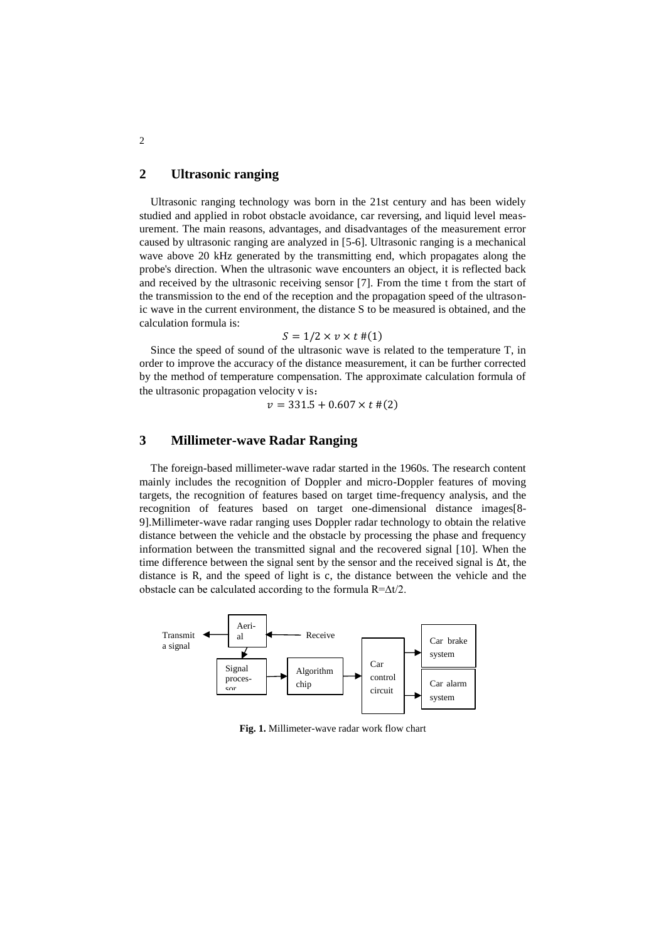# **2 Ultrasonic ranging**

Ultrasonic ranging technology was born in the 21st century and has been widely studied and applied in robot obstacle avoidance, car reversing, and liquid level measurement. The main reasons, advantages, and disadvantages of the measurement error caused by ultrasonic ranging are analyzed in [5-6]. Ultrasonic ranging is a mechanical wave above 20 kHz generated by the transmitting end, which propagates along the probe's direction. When the ultrasonic wave encounters an object, it is reflected back and received by the ultrasonic receiving sensor [7]. From the time t from the start of the transmission to the end of the reception and the propagation speed of the ultrasonic wave in the current environment, the distance S to be measured is obtained, and the calculation formula is:

### $S = 1/2 \times v \times t$  #(1)

Since the speed of sound of the ultrasonic wave is related to the temperature T, in order to improve the accuracy of the distance measurement, it can be further corrected by the method of temperature compensation. The approximate calculation formula of the ultrasonic propagation velocity v is:

$$
v = 331.5 + 0.607 \times t \#(2)
$$

# **3 Millimeter-wave Radar Ranging**

The foreign-based millimeter-wave radar started in the 1960s. The research content mainly includes the recognition of Doppler and micro-Doppler features of moving targets, the recognition of features based on target time-frequency analysis, and the recognition of features based on target one-dimensional distance images[8- 9].Millimeter-wave radar ranging uses Doppler radar technology to obtain the relative distance between the vehicle and the obstacle by processing the phase and frequency information between the transmitted signal and the recovered signal [10]. When the time difference between the signal sent by the sensor and the received signal is ∆t, the distance is R, and the speed of light is c, the distance between the vehicle and the obstacle can be calculated according to the formula R=∆t/2.



**Fig. 1.** Millimeter-wave radar work flow chart

2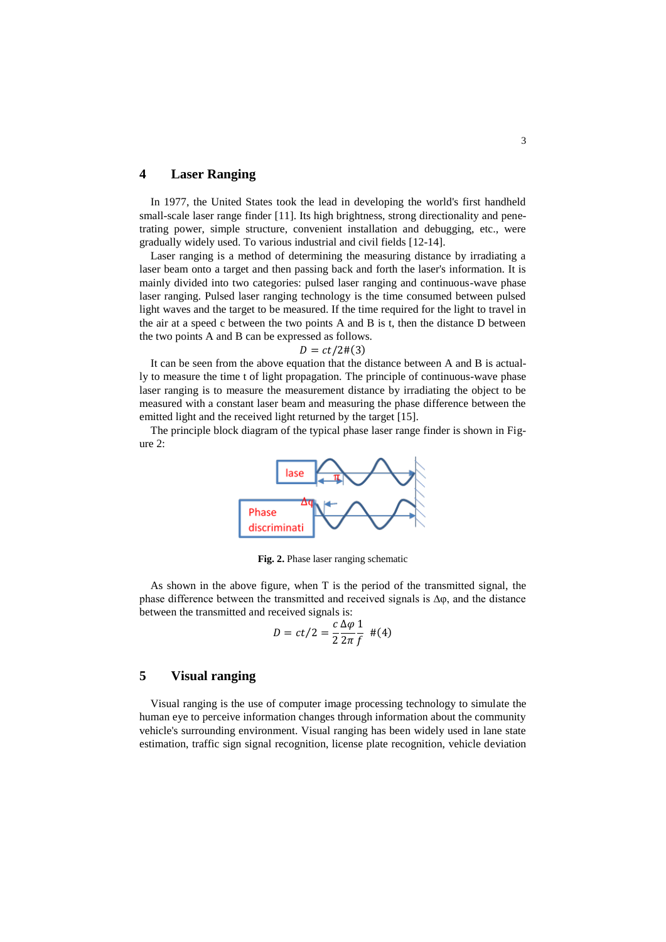# **4 Laser Ranging**

In 1977, the United States took the lead in developing the world's first handheld small-scale laser range finder [11]. Its high brightness, strong directionality and penetrating power, simple structure, convenient installation and debugging, etc., were gradually widely used. To various industrial and civil fields [12-14].

Laser ranging is a method of determining the measuring distance by irradiating a laser beam onto a target and then passing back and forth the laser's information. It is mainly divided into two categories: pulsed laser ranging and continuous-wave phase laser ranging. Pulsed laser ranging technology is the time consumed between pulsed light waves and the target to be measured. If the time required for the light to travel in the air at a speed c between the two points A and B is t, then the distance D between the two points A and B can be expressed as follows.

 $D = ct/2 \#(3)$ 

It can be seen from the above equation that the distance between A and B is actually to measure the time t of light propagation. The principle of continuous-wave phase laser ranging is to measure the measurement distance by irradiating the object to be measured with a constant laser beam and measuring the phase difference between the emitted light and the received light returned by the target [15].

The principle block diagram of the typical phase laser range finder is shown in Figure 2:



**Fig. 2.** Phase laser ranging schematic

As shown in the above figure, when T is the period of the transmitted signal, the phase difference between the transmitted and received signals is  $\Delta \varphi$ , and the distance between the transmitted and received signals is:

$$
D = ct/2 = \frac{c}{2} \frac{\Delta \varphi}{2\pi} \frac{1}{f} \quad \#(4)
$$

# **5 Visual ranging**

Visual ranging is the use of computer image processing technology to simulate the human eye to perceive information changes through information about the community vehicle's surrounding environment. Visual ranging has been widely used in lane state estimation, traffic sign signal recognition, license plate recognition, vehicle deviation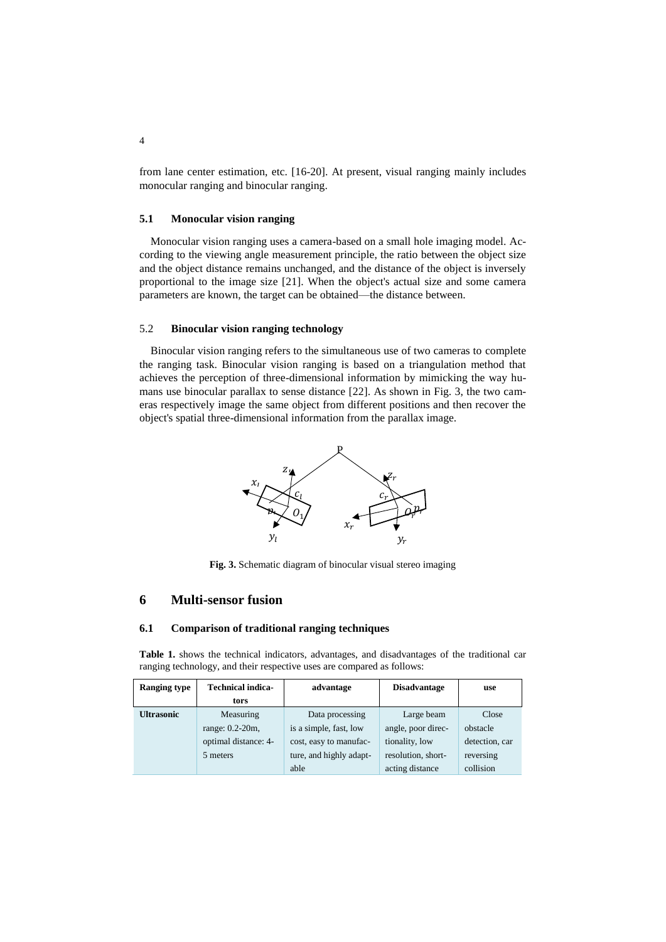from lane center estimation, etc. [16-20]. At present, visual ranging mainly includes monocular ranging and binocular ranging.

#### **5.1 Monocular vision ranging**

Monocular vision ranging uses a camera-based on a small hole imaging model. According to the viewing angle measurement principle, the ratio between the object size and the object distance remains unchanged, and the distance of the object is inversely proportional to the image size [21]. When the object's actual size and some camera parameters are known, the target can be obtained—the distance between.

### 5.2 **Binocular vision ranging technology**

Binocular vision ranging refers to the simultaneous use of two cameras to complete the ranging task. Binocular vision ranging is based on a triangulation method that achieves the perception of three-dimensional information by mimicking the way humans use binocular parallax to sense distance [22]. As shown in Fig. 3, the two cameras respectively image the same object from different positions and then recover the object's spatial three-dimensional information from the parallax image.



**Fig. 3.** Schematic diagram of binocular visual stereo imaging

### **6 Multi-sensor fusion**

#### **6.1 Comparison of traditional ranging techniques**

**Table 1.** shows the technical indicators, advantages, and disadvantages of the traditional car ranging technology, and their respective uses are compared as follows:

| <b>Ranging type</b> | <b>Technical indica-</b> | advantage               | <b>Disadvantage</b> | use            |
|---------------------|--------------------------|-------------------------|---------------------|----------------|
|                     | tors                     |                         |                     |                |
| <b>Ultrasonic</b>   | Measuring                | Data processing         | Large beam          | Close          |
|                     | range: 0.2-20m,          | is a simple, fast, low  | angle, poor direc-  | obstacle       |
|                     | optimal distance: 4-     | cost, easy to manufac-  | tionality, low      | detection, car |
|                     | 5 meters                 | ture, and highly adapt- | resolution, short-  | reversing      |
|                     |                          | able                    | acting distance     | collision      |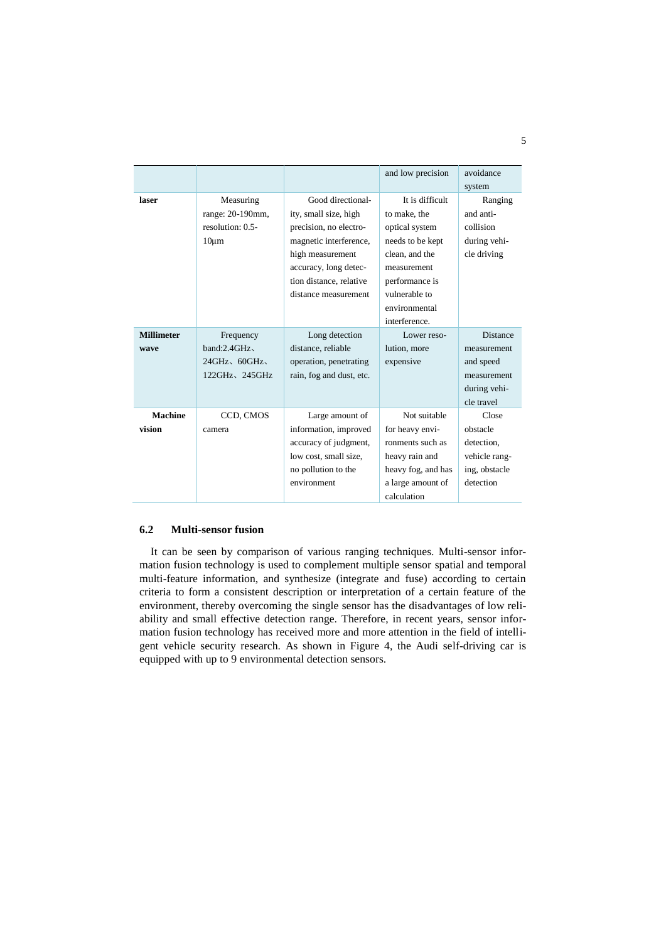|                   |                     |                          | and low precision  | avoidance       |
|-------------------|---------------------|--------------------------|--------------------|-----------------|
|                   |                     |                          |                    | system          |
| laser             | Measuring           | Good directional-        | It is difficult    | Ranging         |
|                   | range: 20-190mm,    | ity, small size, high    | to make, the       | and anti-       |
|                   | resolution: 0.5-    | precision, no electro-   | optical system     | collision       |
|                   | $10 \mu m$          | magnetic interference,   | needs to be kept   | during vehi-    |
|                   |                     | high measurement         | clean, and the     | cle driving     |
|                   |                     | accuracy, long detec-    | measurement        |                 |
|                   |                     | tion distance, relative  | performance is     |                 |
|                   |                     | distance measurement     | vulnerable to      |                 |
|                   |                     |                          | environmental      |                 |
|                   |                     |                          | interference.      |                 |
| <b>Millimeter</b> | Frequency           | Long detection           | Lower reso-        | <b>Distance</b> |
| wave              | band:2.4GHz         | distance, reliable       | lution, more       | measurement     |
|                   | $24GHz$ , $60GHz$   | operation, penetrating   | expensive          | and speed       |
|                   | $122GHz$ , $245GHz$ | rain, fog and dust, etc. |                    | measurement     |
|                   |                     |                          |                    | during vehi-    |
|                   |                     |                          |                    | cle travel      |
| <b>Machine</b>    | CCD, CMOS           | Large amount of          | Not suitable       | Close           |
| vision            | camera              | information, improved    | for heavy envi-    | obstacle        |
|                   |                     | accuracy of judgment,    | ronments such as   | detection.      |
|                   |                     | low cost, small size,    | heavy rain and     | vehicle rang-   |
|                   |                     | no pollution to the      | heavy fog, and has | ing, obstacle   |
|                   |                     | environment              | a large amount of  | detection       |
|                   |                     |                          | calculation        |                 |

### **6.2 Multi-sensor fusion**

It can be seen by comparison of various ranging techniques. Multi-sensor information fusion technology is used to complement multiple sensor spatial and temporal multi-feature information, and synthesize (integrate and fuse) according to certain criteria to form a consistent description or interpretation of a certain feature of the environment, thereby overcoming the single sensor has the disadvantages of low reliability and small effective detection range. Therefore, in recent years, sensor information fusion technology has received more and more attention in the field of intelligent vehicle security research. As shown in Figure 4, the Audi self-driving car is equipped with up to 9 environmental detection sensors.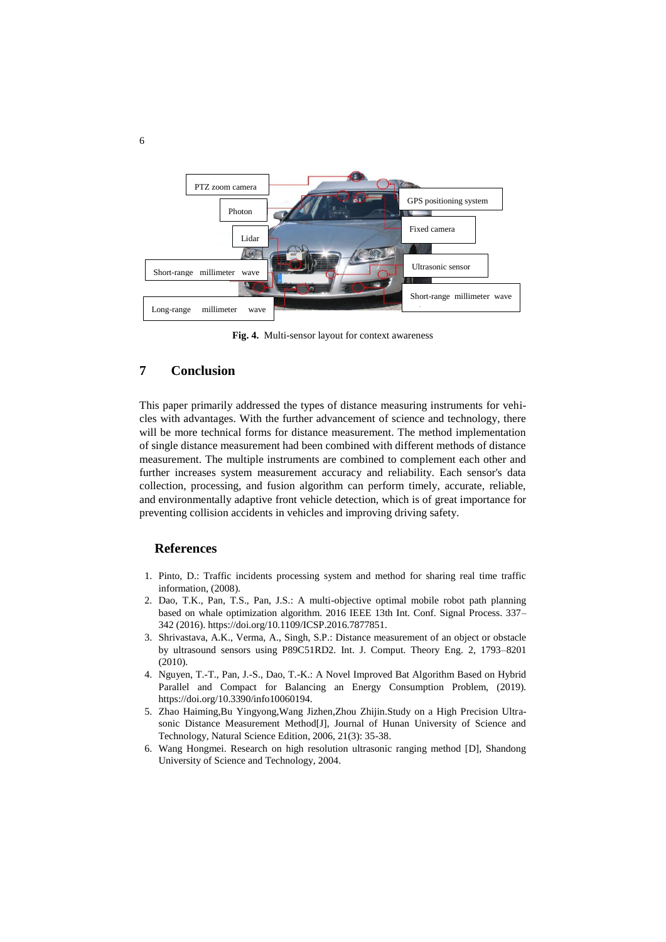

**Fig. 4.** Multi-sensor layout for context awareness

# **7 Conclusion**

This paper primarily addressed the types of distance measuring instruments for vehicles with advantages. With the further advancement of science and technology, there will be more technical forms for distance measurement. The method implementation of single distance measurement had been combined with different methods of distance measurement. The multiple instruments are combined to complement each other and further increases system measurement accuracy and reliability. Each sensor's data collection, processing, and fusion algorithm can perform timely, accurate, reliable, and environmentally adaptive front vehicle detection, which is of great importance for preventing collision accidents in vehicles and improving driving safety.

### **References**

- 1. Pinto, D.: Traffic incidents processing system and method for sharing real time traffic information, (2008).
- 2. Dao, T.K., Pan, T.S., Pan, J.S.: A multi-objective optimal mobile robot path planning based on whale optimization algorithm. 2016 IEEE 13th Int. Conf. Signal Process. 337– 342 (2016). https://doi.org/10.1109/ICSP.2016.7877851.
- 3. Shrivastava, A.K., Verma, A., Singh, S.P.: Distance measurement of an object or obstacle by ultrasound sensors using P89C51RD2. Int. J. Comput. Theory Eng. 2, 1793–8201 (2010).
- 4. Nguyen, T.-T., Pan, J.-S., Dao, T.-K.: A Novel Improved Bat Algorithm Based on Hybrid Parallel and Compact for Balancing an Energy Consumption Problem, (2019). https://doi.org/10.3390/info10060194.
- 5. Zhao Haiming,Bu Yingyong,Wang Jizhen,Zhou Zhijin.Study on a High Precision Ultrasonic Distance Measurement Method[J], Journal of Hunan University of Science and Technology, Natural Science Edition, 2006, 21(3): 35-38.
- 6. Wang Hongmei. Research on high resolution ultrasonic ranging method [D], Shandong University of Science and Technology, 2004.